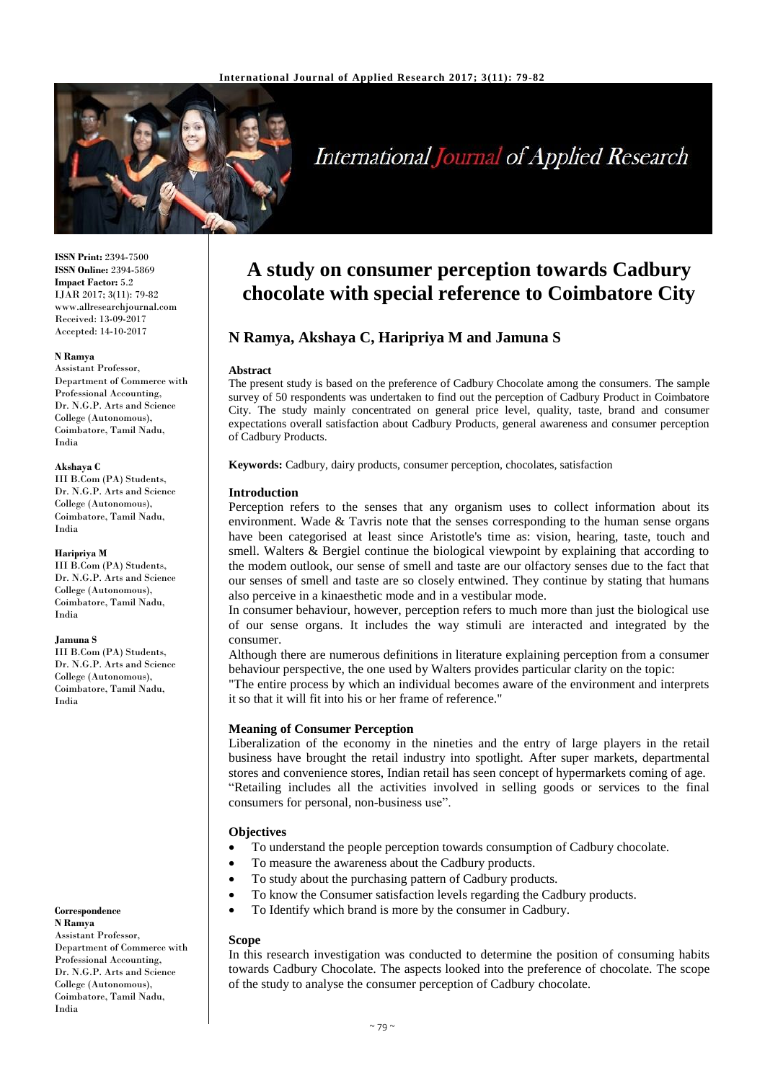

# **International Journal of Applied Research**

**ISSN Print:** 2394-7500 **ISSN Online:** 2394-5869 **Impact Factor:** 5.2 IJAR 2017; 3(11): 79-82 www.allresearchjournal.com Received: 13-09-2017 Accepted: 14-10-2017

#### **N Ramya**

Assistant Professor, Department of Commerce with Professional Accounting, Dr. N.G.P. Arts and Science College (Autonomous), Coimbatore, Tamil Nadu, India

#### **Akshaya C**

III B.Com (PA) Students, Dr. N.G.P. Arts and Science College (Autonomous), Coimbatore, Tamil Nadu, India

#### **Haripriya M**

III B.Com (PA) Students, Dr. N.G.P. Arts and Science College (Autonomous), Coimbatore, Tamil Nadu, India

#### **Jamuna S**

III B.Com (PA) Students, Dr. N.G.P. Arts and Science College (Autonomous), Coimbatore, Tamil Nadu, India

#### **Correspondence N Ramya** Assistant Professor,

Department of Commerce with Professional Accounting, Dr. N.G.P. Arts and Science College (Autonomous), Coimbatore, Tamil Nadu, India

## **A study on consumer perception towards Cadbury chocolate with special reference to Coimbatore City**

## **N Ramya, Akshaya C, Haripriya M and Jamuna S**

#### **Abstract**

The present study is based on the preference of Cadbury Chocolate among the consumers. The sample survey of 50 respondents was undertaken to find out the perception of Cadbury Product in Coimbatore City. The study mainly concentrated on general price level, quality, taste, brand and consumer expectations overall satisfaction about Cadbury Products, general awareness and consumer perception of Cadbury Products.

**Keywords:** Cadbury, dairy products, consumer perception, chocolates, satisfaction

#### **Introduction**

Perception refers to the senses that any organism uses to collect information about its environment. Wade & Tavris note that the senses corresponding to the human sense organs have been categorised at least since Aristotle's time as: vision, hearing, taste, touch and smell. Walters & Bergiel continue the biological viewpoint by explaining that according to the modem outlook, our sense of smell and taste are our olfactory senses due to the fact that our senses of smell and taste are so closely entwined. They continue by stating that humans also perceive in a kinaesthetic mode and in a vestibular mode.

In consumer behaviour, however, perception refers to much more than just the biological use of our sense organs. It includes the way stimuli are interacted and integrated by the consumer.

Although there are numerous definitions in literature explaining perception from a consumer behaviour perspective, the one used by Walters provides particular clarity on the topic:

"The entire process by which an individual becomes aware of the environment and interprets it so that it will fit into his or her frame of reference."

#### **Meaning of Consumer Perception**

Liberalization of the economy in the nineties and the entry of large players in the retail business have brought the retail industry into spotlight. After super markets, departmental stores and convenience stores, Indian retail has seen concept of hypermarkets coming of age. "Retailing includes all the activities involved in selling goods or services to the final consumers for personal, non-business use".

## **Objectives**

- To understand the people perception towards consumption of Cadbury chocolate.
- To measure the awareness about the Cadbury products.
- To study about the purchasing pattern of Cadbury products.
- To know the Consumer satisfaction levels regarding the Cadbury products.
- To Identify which brand is more by the consumer in Cadbury.

#### **Scope**

In this research investigation was conducted to determine the position of consuming habits towards Cadbury Chocolate. The aspects looked into the preference of chocolate. The scope of the study to analyse the consumer perception of Cadbury chocolate.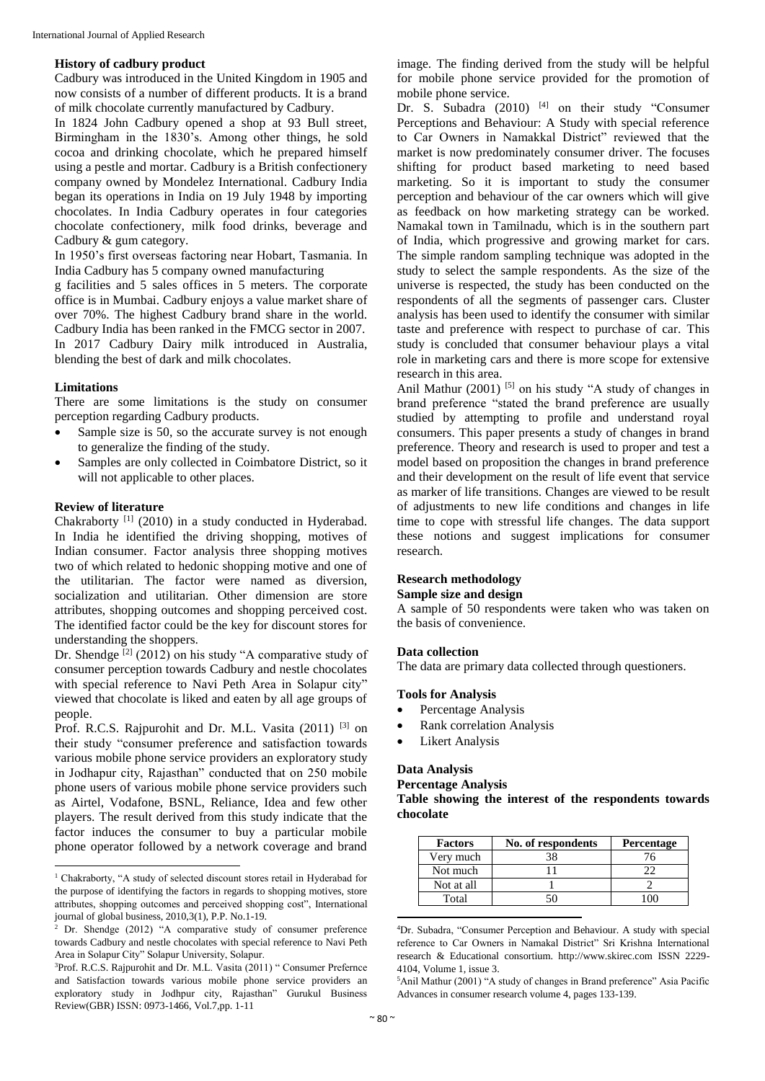#### **History of cadbury product**

Cadbury was introduced in the United Kingdom in 1905 and now consists of a number of different products. It is a brand of milk chocolate currently manufactured by Cadbury.

In 1824 John Cadbury opened a shop at 93 Bull street, Birmingham in the 1830's. Among other things, he sold cocoa and drinking chocolate, which he prepared himself using a pestle and mortar. Cadbury is a British confectionery company owned by Mondelez International. Cadbury India began its operations in India on 19 July 1948 by importing chocolates. In India Cadbury operates in four categories chocolate confectionery, milk food drinks, beverage and Cadbury & gum category.

In 1950's first overseas factoring near Hobart, Tasmania. In India Cadbury has 5 company owned manufacturing

g facilities and 5 sales offices in 5 meters. The corporate office is in Mumbai. Cadbury enjoys a value market share of over 70%. The highest Cadbury brand share in the world. Cadbury India has been ranked in the FMCG sector in 2007. In 2017 Cadbury Dairy milk introduced in Australia, blending the best of dark and milk chocolates.

#### **Limitations**

There are some limitations is the study on consumer perception regarding Cadbury products.

- Sample size is 50, so the accurate survey is not enough to generalize the finding of the study.
- Samples are only collected in Coimbatore District, so it will not applicable to other places.

#### **Review of literature**

 $\overline{a}$ 

Chakraborty<sup>[1]</sup> (2010) in a study conducted in Hyderabad. In India he identified the driving shopping, motives of Indian consumer. Factor analysis three shopping motives two of which related to hedonic shopping motive and one of the utilitarian. The factor were named as diversion, socialization and utilitarian. Other dimension are store attributes, shopping outcomes and shopping perceived cost. The identified factor could be the key for discount stores for understanding the shoppers.

Dr. Shendge<sup>[2]</sup> (2012) on his study "A comparative study of consumer perception towards Cadbury and nestle chocolates with special reference to Navi Peth Area in Solapur city" viewed that chocolate is liked and eaten by all age groups of people.

Prof. R.C.S. Rajpurohit and Dr. M.L. Vasita (2011) [3] on their study "consumer preference and satisfaction towards various mobile phone service providers an exploratory study in Jodhapur city, Rajasthan" conducted that on 250 mobile phone users of various mobile phone service providers such as Airtel, Vodafone, BSNL, Reliance, Idea and few other players. The result derived from this study indicate that the factor induces the consumer to buy a particular mobile phone operator followed by a network coverage and brand

image. The finding derived from the study will be helpful for mobile phone service provided for the promotion of mobile phone service.

Dr. S. Subadra  $(2010)$  <sup>[4]</sup> on their study "Consumer Perceptions and Behaviour: A Study with special reference to Car Owners in Namakkal District" reviewed that the market is now predominately consumer driver. The focuses shifting for product based marketing to need based marketing. So it is important to study the consumer perception and behaviour of the car owners which will give as feedback on how marketing strategy can be worked. Namakal town in Tamilnadu, which is in the southern part of India, which progressive and growing market for cars. The simple random sampling technique was adopted in the study to select the sample respondents. As the size of the universe is respected, the study has been conducted on the respondents of all the segments of passenger cars. Cluster analysis has been used to identify the consumer with similar taste and preference with respect to purchase of car. This study is concluded that consumer behaviour plays a vital role in marketing cars and there is more scope for extensive research in this area.

Anil Mathur  $(2001)$  <sup>[5]</sup> on his study "A study of changes in brand preference "stated the brand preference are usually studied by attempting to profile and understand royal consumers. This paper presents a study of changes in brand preference. Theory and research is used to proper and test a model based on proposition the changes in brand preference and their development on the result of life event that service as marker of life transitions. Changes are viewed to be result of adjustments to new life conditions and changes in life time to cope with stressful life changes. The data support these notions and suggest implications for consumer research.

#### **Research methodology**

#### **Sample size and design**

A sample of 50 respondents were taken who was taken on the basis of convenience.

#### **Data collection**

The data are primary data collected through questioners.

#### **Tools for Analysis**

- Percentage Analysis
- Rank correlation Analysis
- Likert Analysis

## **Data Analysis**

## **Percentage Analysis**

**Table showing the interest of the respondents towards chocolate**

| <b>Factors</b> | No. of respondents | <b>Percentage</b> |
|----------------|--------------------|-------------------|
| Very much      |                    | 76                |
| Not much       |                    |                   |
| Not at all     |                    |                   |
| Total          |                    |                   |

<sup>4</sup>Dr. Subadra, "Consumer Perception and Behaviour. A study with special reference to Car Owners in Namakal District" Sri Krishna International research & Educational consortium. http://www.skirec.com ISSN 2229- 4104, Volume 1, issue 3.

<sup>5</sup>Anil Mathur (2001) "A study of changes in Brand preference" Asia Pacific Advances in consumer research volume 4, pages 133-139.

 $\ddot{\phantom{a}}$ 

<sup>&</sup>lt;sup>1</sup> Chakraborty, "A study of selected discount stores retail in Hyderabad for the purpose of identifying the factors in regards to shopping motives, store attributes, shopping outcomes and perceived shopping cost", International journal of global business,  $2010,3(1)$ , P.P. No.1-19.

Dr. Shendge (2012) "A comparative study of consumer preference towards Cadbury and nestle chocolates with special reference to Navi Peth Area in Solapur City" Solapur University, Solapur.

<sup>3</sup>Prof. R.C.S. Rajpurohit and Dr. M.L. Vasita (2011) " Consumer Prefernce and Satisfaction towards various mobile phone service providers an exploratory study in Jodhpur city, Rajasthan" Gurukul Business Review(GBR) ISSN: 0973-1466, Vol.7,pp. 1-11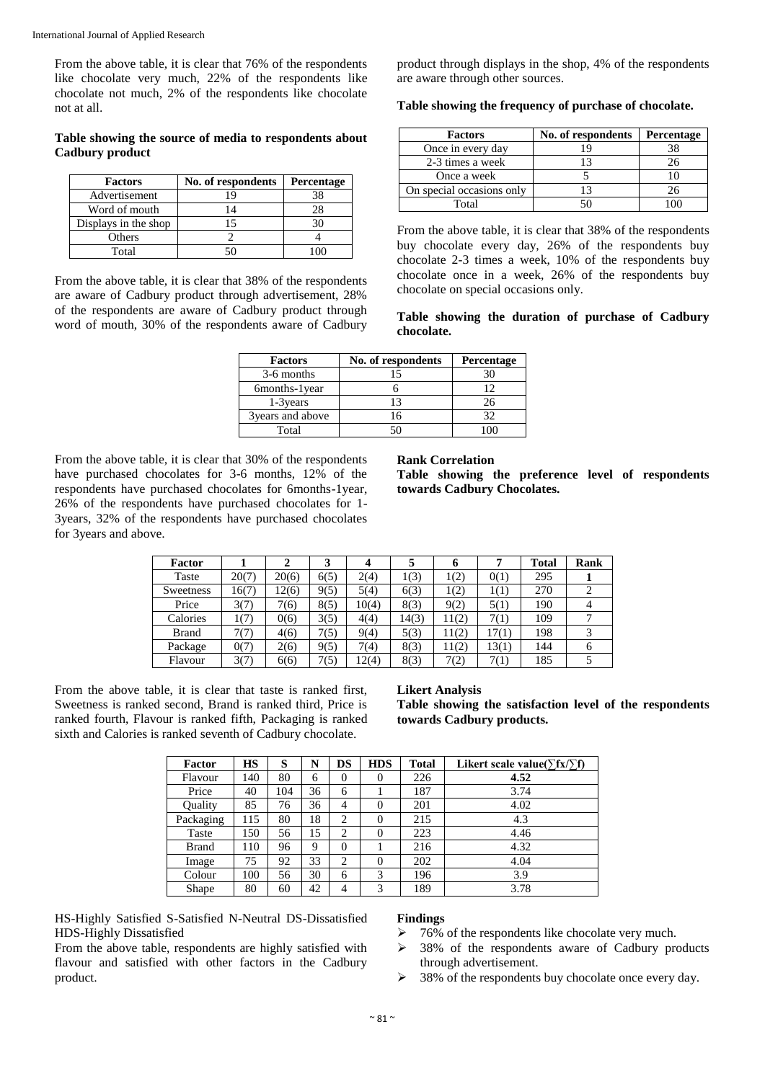From the above table, it is clear that 76% of the respondents like chocolate very much, 22% of the respondents like chocolate not much, 2% of the respondents like chocolate not at all.

## **Table showing the source of media to respondents about Cadbury product**

| <b>Factors</b>       | No. of respondents | Percentage |  |  |
|----------------------|--------------------|------------|--|--|
| Advertisement        |                    |            |  |  |
| Word of mouth        |                    |            |  |  |
| Displays in the shop |                    |            |  |  |
| Others               |                    |            |  |  |
| Total                |                    |            |  |  |

From the above table, it is clear that 38% of the respondents are aware of Cadbury product through advertisement, 28% of the respondents are aware of Cadbury product through word of mouth, 30% of the respondents aware of Cadbury

product through displays in the shop, 4% of the respondents are aware through other sources.

### **Table showing the frequency of purchase of chocolate.**

| <b>Factors</b>            | No. of respondents | Percentage |
|---------------------------|--------------------|------------|
| Once in every day         |                    | 38         |
| 2-3 times a week          |                    | 26         |
| Once a week               |                    |            |
| On special occasions only |                    | 26         |
| Total                     |                    |            |

From the above table, it is clear that 38% of the respondents buy chocolate every day, 26% of the respondents buy chocolate 2-3 times a week, 10% of the respondents buy chocolate once in a week, 26% of the respondents buy chocolate on special occasions only.

**Table showing the duration of purchase of Cadbury chocolate.**

| <b>Factors</b>    | No. of respondents | Percentage |  |  |
|-------------------|--------------------|------------|--|--|
| 3-6 months        | 15                 |            |  |  |
| 6months-1 year    |                    | 12         |  |  |
| 1-3 years         | 13                 | 26         |  |  |
| 3 years and above | 16                 | 32         |  |  |
| Total             |                    |            |  |  |

From the above table, it is clear that 30% of the respondents have purchased chocolates for 3-6 months, 12% of the respondents have purchased chocolates for 6months-1year, 26% of the respondents have purchased chocolates for 1- 3years, 32% of the respondents have purchased chocolates for 3years and above.

#### **Rank Correlation**

**Table showing the preference level of respondents towards Cadbury Chocolates.**

| Factor       |       | 2     | 3    |       |       | o     |       | <b>Total</b> | Rank |
|--------------|-------|-------|------|-------|-------|-------|-------|--------------|------|
| Taste        | 20(7) | 20(6) | 6(5) | 2(4)  | 1(3)  | 1(2)  | 0(1)  | 295          |      |
| Sweetness    | 16(7) | 12(6) | 9(5) | 5(4)  | 6(3)  | 1(2)  | 1(1)  | 270          |      |
| Price        | 3(7)  | 7(6)  | 8(5) | 10(4) | 8(3)  | 9(2)  | 5(1)  | 190          | 4    |
| Calories     | 1(7)  | 0(6)  | 3(5) | 4(4)  | 14(3) | 11(2) | 7(1)  | 109          |      |
| <b>Brand</b> | 7(7)  | 4(6)  | 7(5) | 9(4)  | 5(3)  | 11(2) | 17(1) | 198          |      |
| Package      | 0(7)  | 2(6)  | 9(5) | 7(4)  | 8(3)  | 11(2) | 13(1) | 144          | 6    |
| Flavour      | 3(7)  | 6(6)  | 7(5) | 12(4) | 8(3)  | 7(2)  | 7(1)  | 185          |      |

From the above table, it is clear that taste is ranked first, Sweetness is ranked second, Brand is ranked third, Price is ranked fourth, Flavour is ranked fifth, Packaging is ranked sixth and Calories is ranked seventh of Cadbury chocolate.

#### **Likert Analysis**

**Table showing the satisfaction level of the respondents towards Cadbury products.**

| Factor       | <b>HS</b> | S   | N  | <b>DS</b>      | <b>HDS</b> | <b>Total</b> | Likert scale value( $\sum fx / \sum f$ ) |
|--------------|-----------|-----|----|----------------|------------|--------------|------------------------------------------|
| Flavour      | 140       | 80  | 6  | $\theta$       | 0          | 226          | 4.52                                     |
| Price        | 40        | 104 | 36 | 6              |            | 187          | 3.74                                     |
| Ouality      | 85        | 76  | 36 | 4              | $\theta$   | 201          | 4.02                                     |
| Packaging    | 115       | 80  | 18 | $\overline{c}$ | $\theta$   | 215          | 4.3                                      |
| Taste        | 150       | 56  | 15 | $\overline{c}$ | $\theta$   | 223          | 4.46                                     |
| <b>Brand</b> | 110       | 96  | 9  | 0              |            | 216          | 4.32                                     |
| Image        | 75        | 92  | 33 | 2              | $\theta$   | 202          | 4.04                                     |
| Colour       | 100       | 56  | 30 | 6              | 3          | 196          | 3.9                                      |
| Shape        | 80        | 60  | 42 | 4              | 3          | 189          | 3.78                                     |

HS-Highly Satisfied S-Satisfied N-Neutral DS-Dissatisfied HDS-Highly Dissatisfied

From the above table, respondents are highly satisfied with flavour and satisfied with other factors in the Cadbury product.

## **Findings**

- 76% of the respondents like chocolate very much.
- 38% of the respondents aware of Cadbury products through advertisement.
- $\geq$  38% of the respondents buy chocolate once every day.